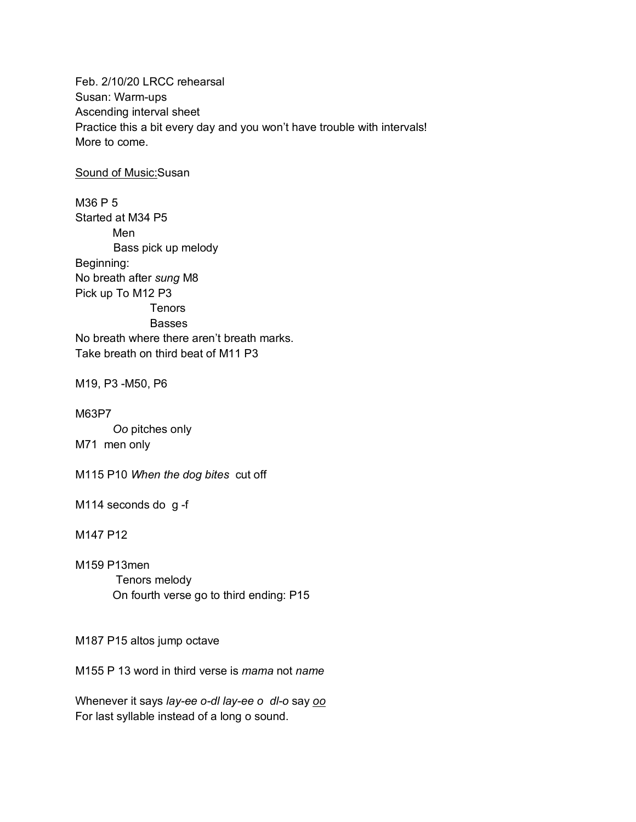Feb. 2/10/20 LRCC rehearsal Susan: Warm-ups Ascending interval sheet Practice this a bit every day and you won't have trouble with intervals! More to come.

Sound of Music:Susan

M36 P 5 Started at M34 P5 Men Bass pick up melody Beginning: No breath after *sung* M8 Pick up To M12 P3 Tenors Basses No breath where there aren't breath marks. Take breath on third beat of M11 P3

M19, P3 -M50, P6

M63P7 *Oo* pitches only M71 men only

M115 P10 *When the dog bites* cut off

M114 seconds do g -f

M147 P12

M159 P13men Tenors melody On fourth verse go to third ending: P15

M187 P15 altos jump octave

M155 P 13 word in third verse is *mama* not *name*

Whenever it says *lay-ee o-dl lay-ee o dl-o* say *oo* For last syllable instead of a long o sound.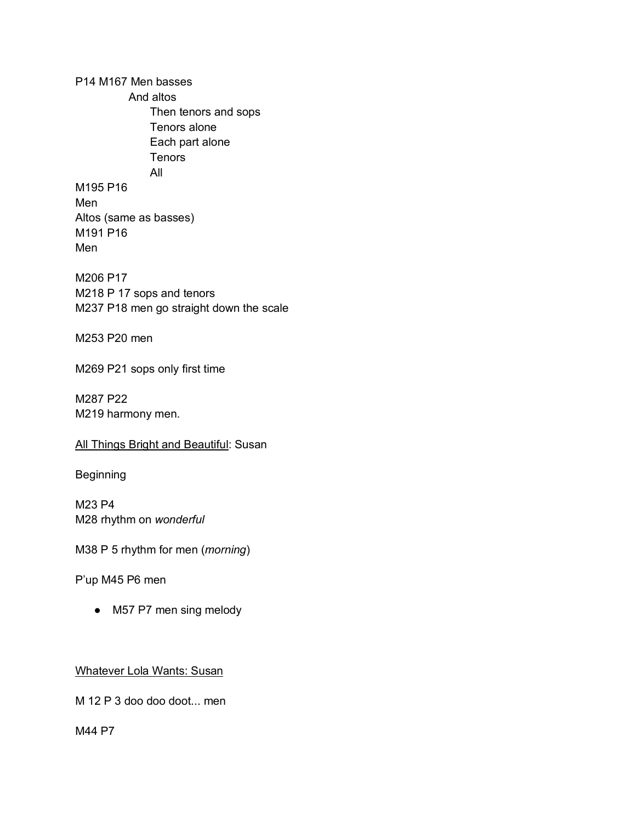P14 M167 Men basses And altos Then tenors and sops Tenors alone Each part alone **Tenors** All M195 P16 Men Altos (same as basses) M191 P16 Men

M206 P17 M218 P 17 sops and tenors M237 P18 men go straight down the scale

M253 P20 men

M269 P21 sops only first time

M287 P22 M219 harmony men.

## All Things Bright and Beautiful: Susan

Beginning

M23 P4 M28 rhythm on *wonderful*

M38 P 5 rhythm for men (*morning*)

P'up M45 P6 men

• M57 P7 men sing melody

Whatever Lola Wants: Susan

M 12 P 3 doo doo doot... men

M44 P7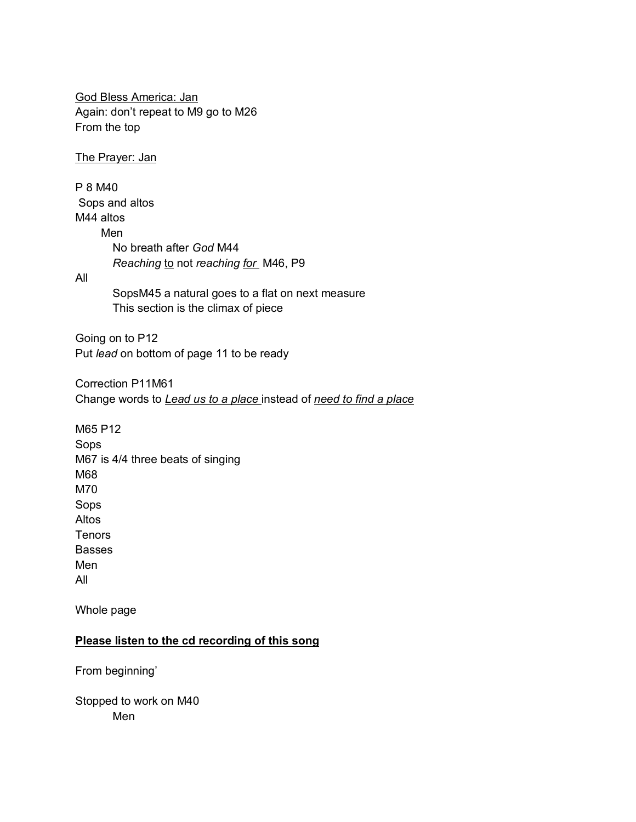God Bless America: Jan Again: don't repeat to M9 go to M26 From the top

The Prayer: Jan

P 8 M40 Sops and altos M44 altos Men No breath after *God* M44 *Reaching* to not *reaching for* M46, P9

## All

SopsM45 a natural goes to a flat on next measure This section is the climax of piece

Going on to P12 Put *lead* on bottom of page 11 to be ready

Correction P11M61 Change words to *Lead us to a place* instead of *need to find a place*

M65 P12 Sops M67 is 4/4 three beats of singing M68 M70 Sops Altos **Tenors** Basses Men All

Whole page

## **Please listen to the cd recording of this song**

From beginning'

Stopped to work on M40 Men